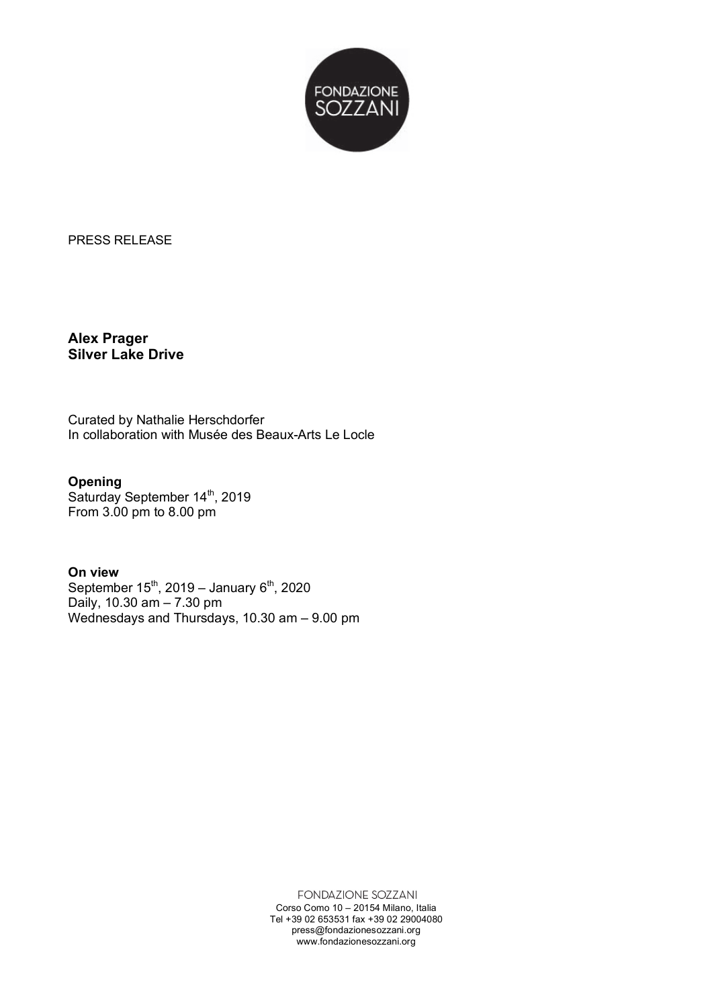

PRESS RELEASE

**Alex Prager Silver Lake Drive**

Curated by Nathalie Herschdorfer In collaboration with Musée des Beaux-Arts Le Locle

## **Opening**

Saturday September 14<sup>th</sup>, 2019 From 3.00 pm to 8.00 pm

## **On view**

September  $15^{th}$ , 2019 – January  $6^{th}$ , 2020 Daily, 10.30 am – 7.30 pm Wednesdays and Thursdays, 10.30 am – 9.00 pm

> FONDAZIONE SOZZANI Corso Como 10 – 20154 Milano, Italia Tel +39 02 653531 fax +39 02 29004080 press@fondazionesozzani.org www.fondazionesozzani.org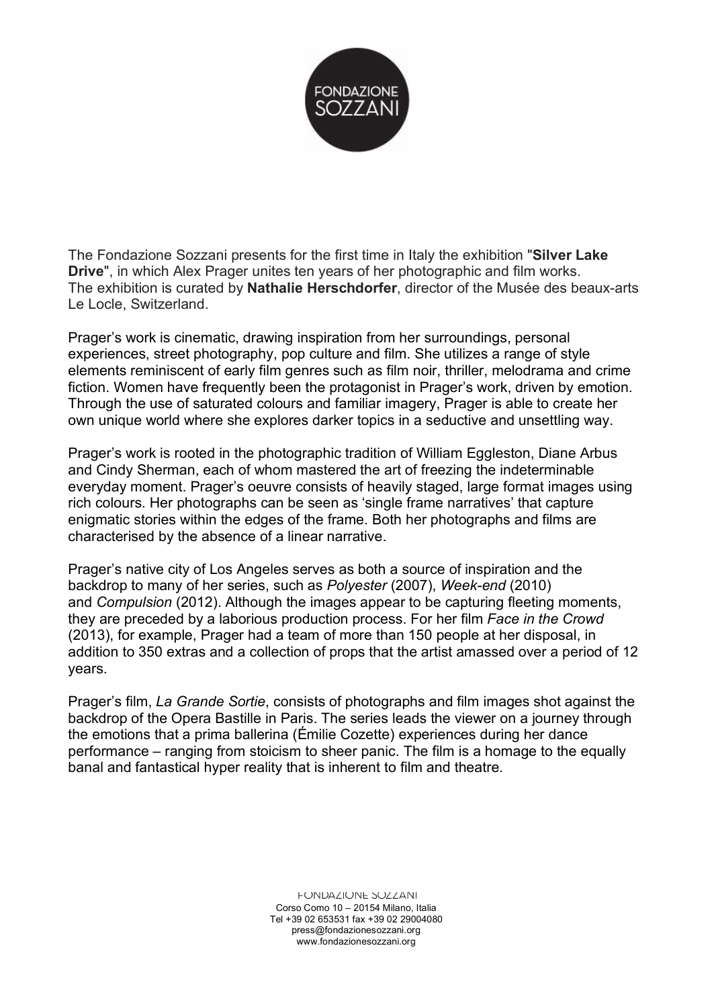

The Fondazione Sozzani presents for the first time in Italy the exhibition "**Silver Lake Drive**", in which Alex Prager unites ten years of her photographic and film works. The exhibition is curated by **Nathalie Herschdorfer**, director of the Musée des beaux-arts Le Locle, Switzerland.

Prager's work is cinematic, drawing inspiration from her surroundings, personal experiences, street photography, pop culture and film. She utilizes a range of style elements reminiscent of early film genres such as film noir, thriller, melodrama and crime fiction. Women have frequently been the protagonist in Prager's work, driven by emotion. Through the use of saturated colours and familiar imagery, Prager is able to create her own unique world where she explores darker topics in a seductive and unsettling way.

Prager's work is rooted in the photographic tradition of William Eggleston, Diane Arbus and Cindy Sherman, each of whom mastered the art of freezing the indeterminable everyday moment. Prager's oeuvre consists of heavily staged, large format images using rich colours. Her photographs can be seen as 'single frame narratives' that capture enigmatic stories within the edges of the frame. Both her photographs and films are characterised by the absence of a linear narrative.

Prager's native city of Los Angeles serves as both a source of inspiration and the backdrop to many of her series, such as *Polyester* (2007), *Week-end* (2010) and *Compulsion* (2012). Although the images appear to be capturing fleeting moments, they are preceded by a laborious production process. For her film *Face in the Crowd*  (2013), for example, Prager had a team of more than 150 people at her disposal, in addition to 350 extras and a collection of props that the artist amassed over a period of 12 years.

Prager's film, *La Grande Sortie*, consists of photographs and film images shot against the backdrop of the Opera Bastille in Paris. The series leads the viewer on a journey through the emotions that a prima ballerina (Émilie Cozette) experiences during her dance performance – ranging from stoicism to sheer panic. The film is a homage to the equally banal and fantastical hyper reality that is inherent to film and theatre.

> FUNDAZIUNE SUZZANI Corso Como 10 – 20154 Milano, Italia Tel +39 02 653531 fax +39 02 29004080 press@fondazionesozzani.org www.fondazionesozzani.org